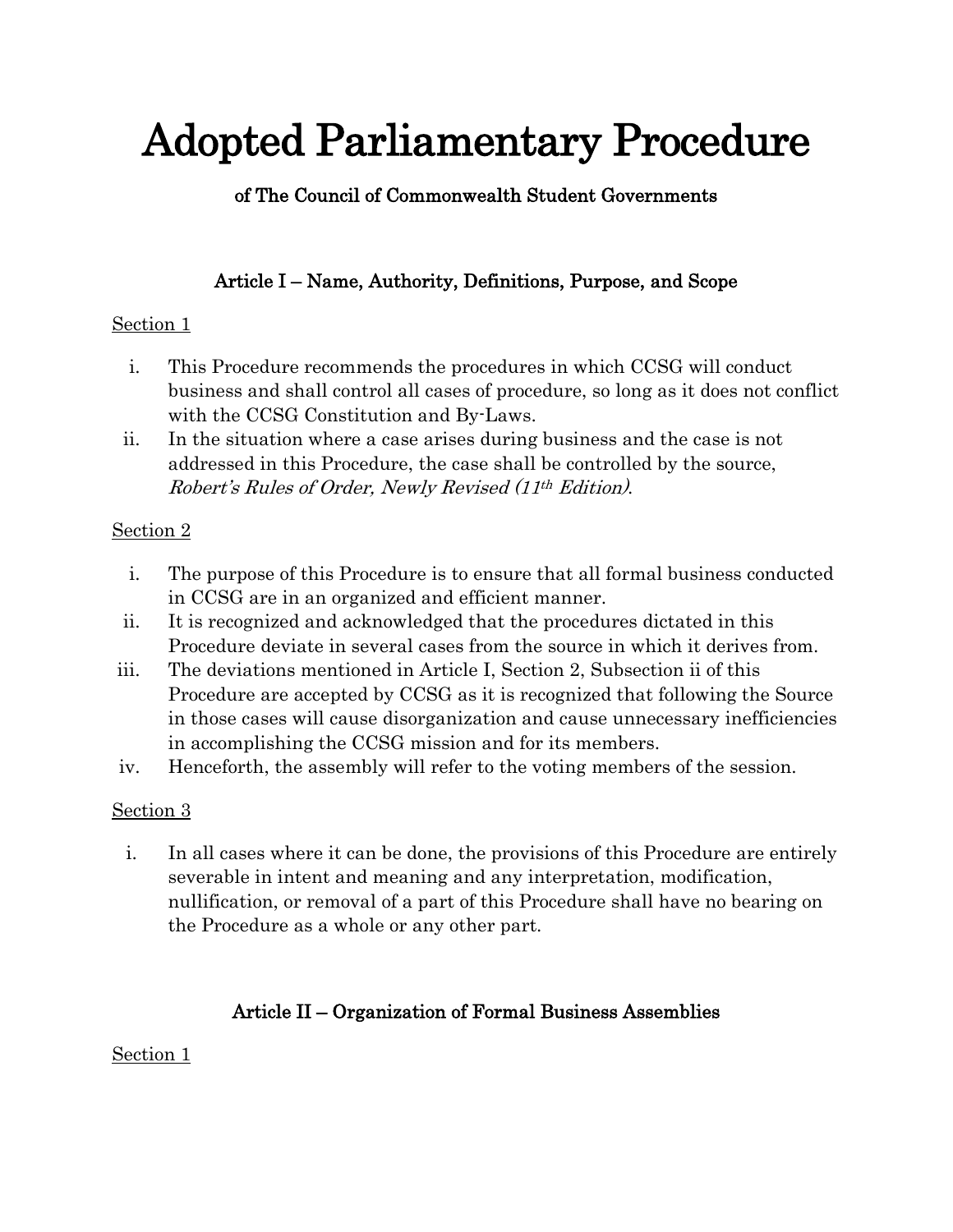# Adopted Parliamentary Procedure

# of The Council of Commonwealth Student Governments

# Article I – Name, Authority, Definitions, Purpose, and Scope

## Section 1

- i. This Procedure recommends the procedures in which CCSG will conduct business and shall control all cases of procedure, so long as it does not conflict with the CCSG Constitution and By-Laws.
- ii. In the situation where a case arises during business and the case is not addressed in this Procedure, the case shall be controlled by the source, Robert's Rules of Order, Newly Revised (11th Edition).

# Section 2

- i. The purpose of this Procedure is to ensure that all formal business conducted in CCSG are in an organized and efficient manner.
- ii. It is recognized and acknowledged that the procedures dictated in this Procedure deviate in several cases from the source in which it derives from.
- iii. The deviations mentioned in Article I, Section 2, Subsection ii of this Procedure are accepted by CCSG as it is recognized that following the Source in those cases will cause disorganization and cause unnecessary inefficiencies in accomplishing the CCSG mission and for its members.
- iv. Henceforth, the assembly will refer to the voting members of the session.

# Section 3

i. In all cases where it can be done, the provisions of this Procedure are entirely severable in intent and meaning and any interpretation, modification, nullification, or removal of a part of this Procedure shall have no bearing on the Procedure as a whole or any other part.

# Article II – Organization of Formal Business Assemblies

## Section 1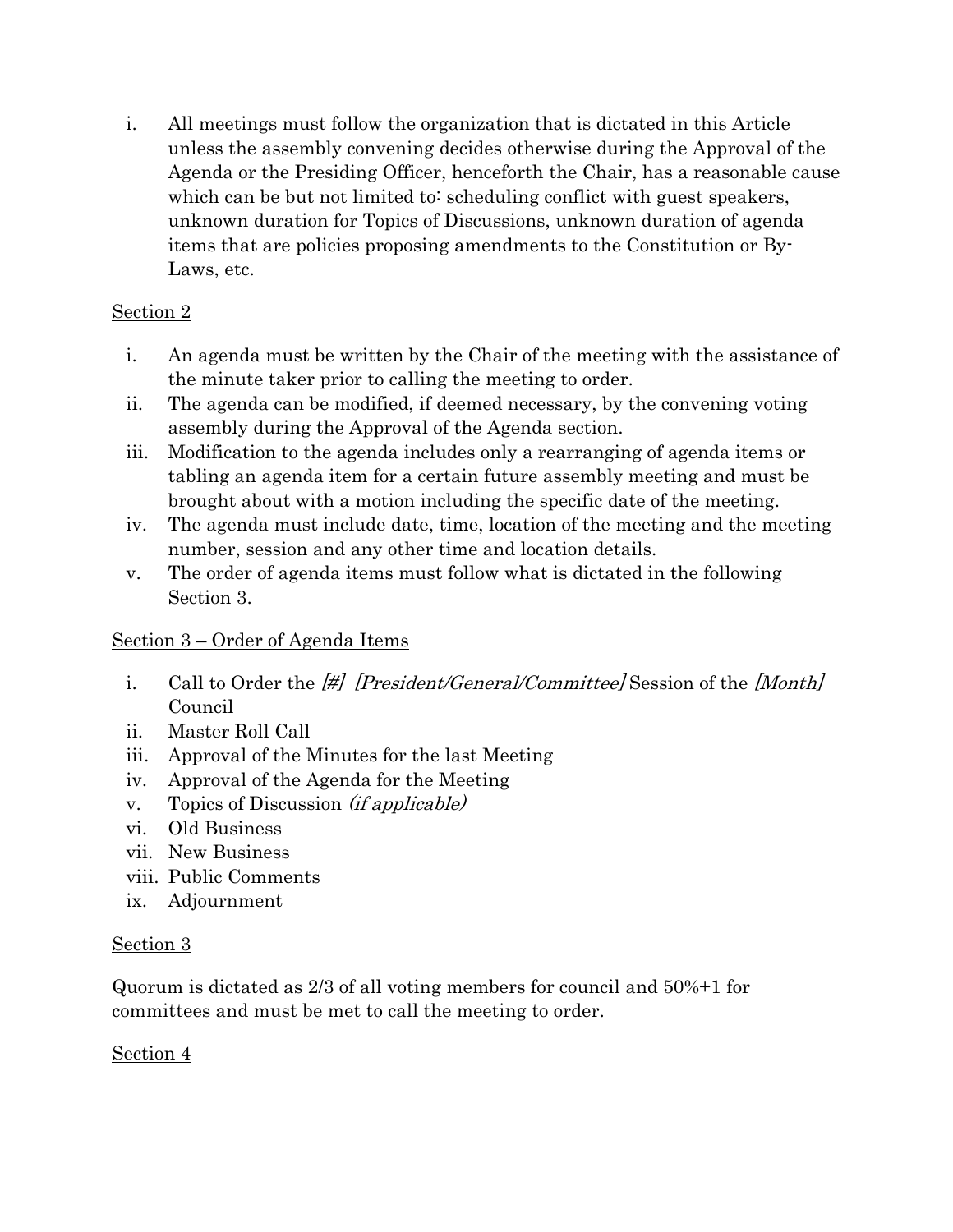i. All meetings must follow the organization that is dictated in this Article unless the assembly convening decides otherwise during the Approval of the Agenda or the Presiding Officer, henceforth the Chair, has a reasonable cause which can be but not limited to scheduling conflict with guest speakers, unknown duration for Topics of Discussions, unknown duration of agenda items that are policies proposing amendments to the Constitution or By-Laws, etc.

## Section 2

- i. An agenda must be written by the Chair of the meeting with the assistance of the minute taker prior to calling the meeting to order.
- ii. The agenda can be modified, if deemed necessary, by the convening voting assembly during the Approval of the Agenda section.
- iii. Modification to the agenda includes only a rearranging of agenda items or tabling an agenda item for a certain future assembly meeting and must be brought about with a motion including the specific date of the meeting.
- iv. The agenda must include date, time, location of the meeting and the meeting number, session and any other time and location details.
- v. The order of agenda items must follow what is dictated in the following Section 3.

# Section 3 – Order of Agenda Items

- i. Call to Order the [#] [President/General/Committee] Session of the [Month] Council
- ii. Master Roll Call
- iii. Approval of the Minutes for the last Meeting
- iv. Approval of the Agenda for the Meeting
- v. Topics of Discussion (if applicable)
- vi. Old Business
- vii. New Business
- viii. Public Comments
- ix. Adjournment

## Section 3

Quorum is dictated as 2/3 of all voting members for council and 50%+1 for committees and must be met to call the meeting to order.

## Section 4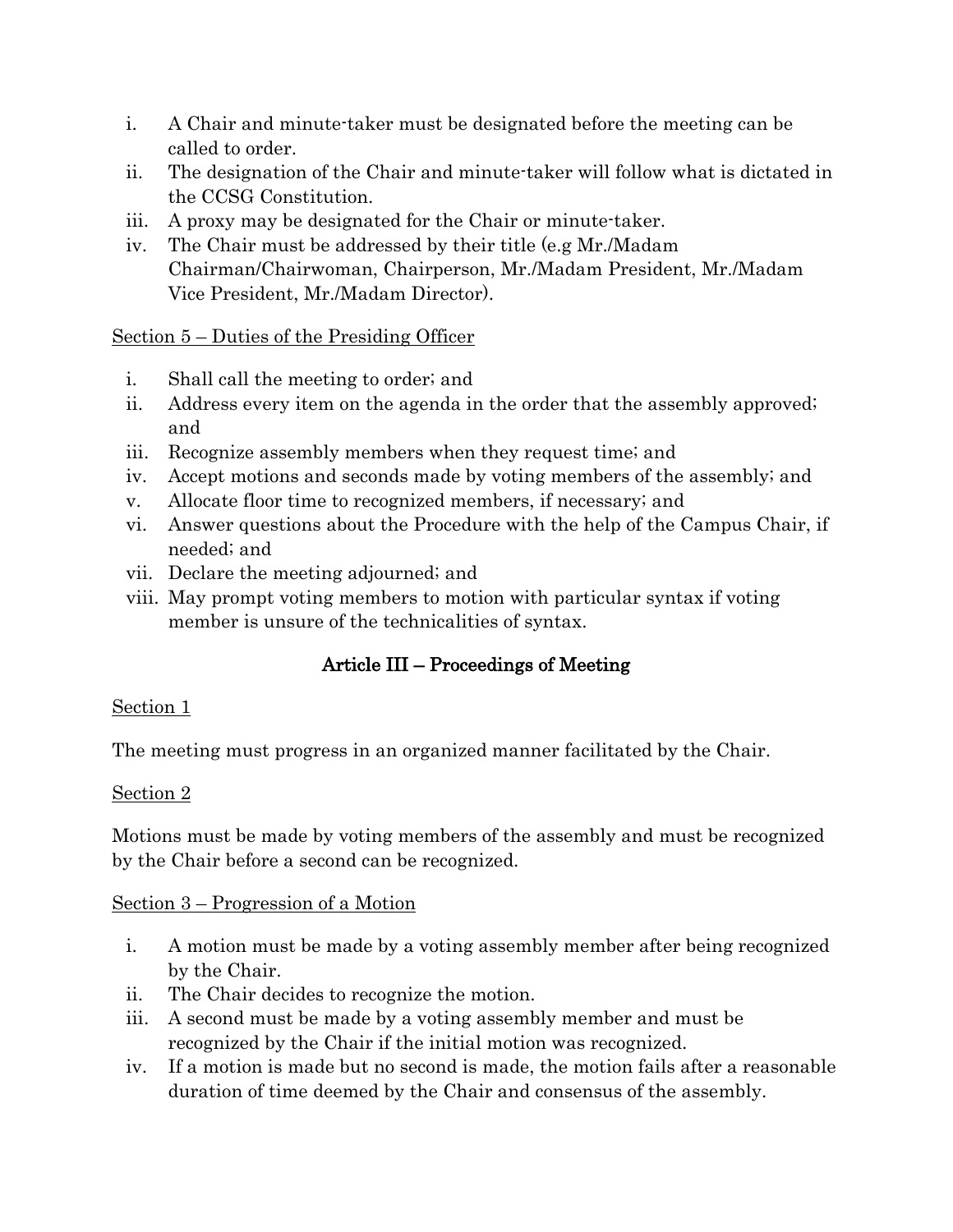- i. A Chair and minute-taker must be designated before the meeting can be called to order.
- ii. The designation of the Chair and minute-taker will follow what is dictated in the CCSG Constitution.
- iii. A proxy may be designated for the Chair or minute-taker.
- iv. The Chair must be addressed by their title (e.g Mr./Madam Chairman/Chairwoman, Chairperson, Mr./Madam President, Mr./Madam Vice President, Mr./Madam Director).

Section 5 – Duties of the Presiding Officer

- i. Shall call the meeting to order; and
- ii. Address every item on the agenda in the order that the assembly approved; and
- iii. Recognize assembly members when they request time; and
- iv. Accept motions and seconds made by voting members of the assembly; and
- v. Allocate floor time to recognized members, if necessary; and
- vi. Answer questions about the Procedure with the help of the Campus Chair, if needed; and
- vii. Declare the meeting adjourned; and
- viii. May prompt voting members to motion with particular syntax if voting member is unsure of the technicalities of syntax.

# Article III – Proceedings of Meeting

#### Section 1

The meeting must progress in an organized manner facilitated by the Chair.

## Section 2

Motions must be made by voting members of the assembly and must be recognized by the Chair before a second can be recognized.

#### Section 3 – Progression of a Motion

- i. A motion must be made by a voting assembly member after being recognized by the Chair.
- ii. The Chair decides to recognize the motion.
- iii. A second must be made by a voting assembly member and must be recognized by the Chair if the initial motion was recognized.
- iv. If a motion is made but no second is made, the motion fails after a reasonable duration of time deemed by the Chair and consensus of the assembly.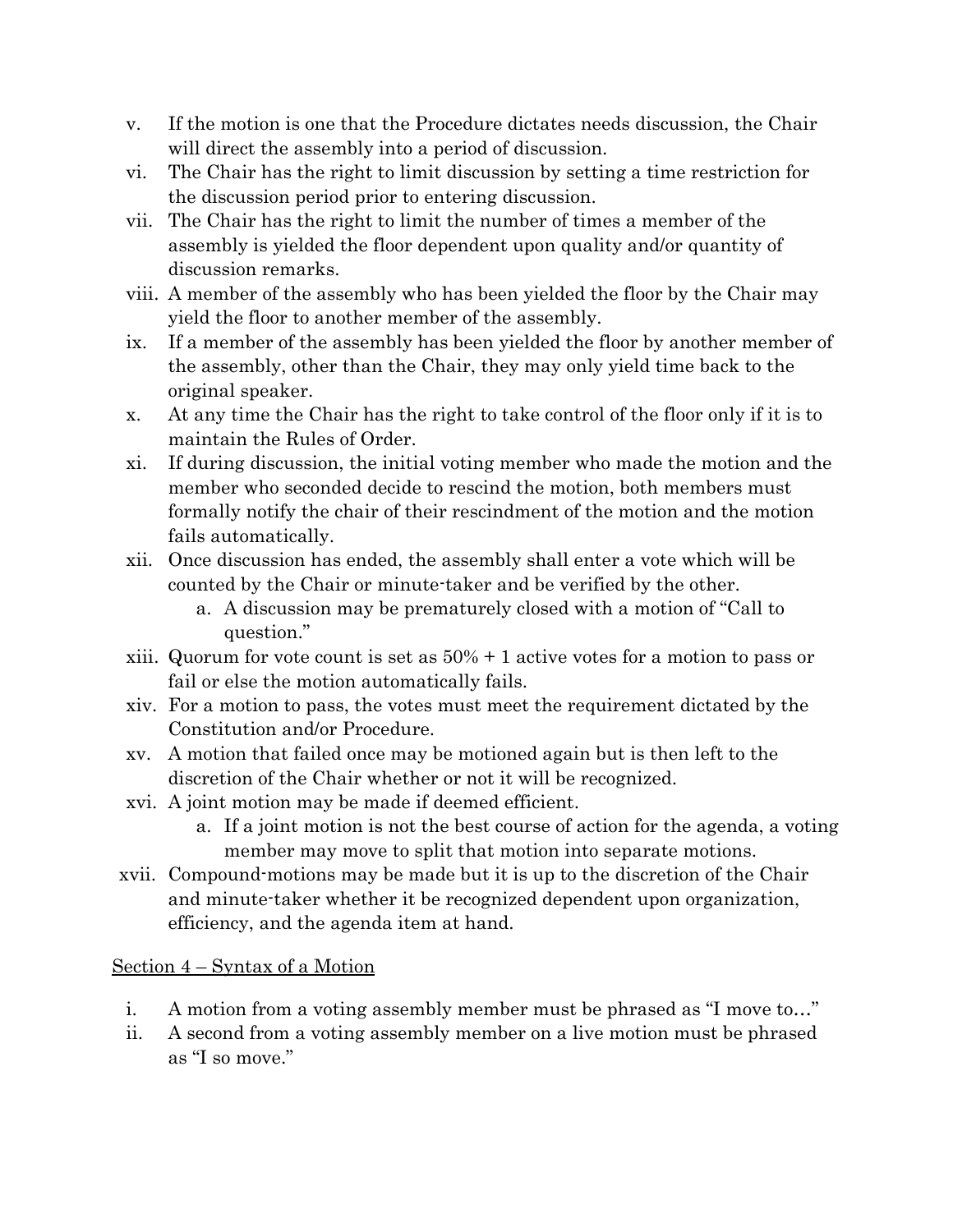- v. If the motion is one that the Procedure dictates needs discussion, the Chair will direct the assembly into a period of discussion.
- vi. The Chair has the right to limit discussion by setting a time restriction for the discussion period prior to entering discussion.
- vii. The Chair has the right to limit the number of times a member of the assembly is yielded the floor dependent upon quality and/or quantity of discussion remarks.
- viii. A member of the assembly who has been yielded the floor by the Chair may yield the floor to another member of the assembly.
- ix. If a member of the assembly has been yielded the floor by another member of the assembly, other than the Chair, they may only yield time back to the original speaker.
- x. At any time the Chair has the right to take control of the floor only if it is to maintain the Rules of Order.
- xi. If during discussion, the initial voting member who made the motion and the member who seconded decide to rescind the motion, both members must formally notify the chair of their rescindment of the motion and the motion fails automatically.
- xii. Once discussion has ended, the assembly shall enter a vote which will be counted by the Chair or minute-taker and be verified by the other.
	- a. A discussion may be prematurely closed with a motion of "Call to question."
- xiii. Quorum for vote count is set as 50% + 1 active votes for a motion to pass or fail or else the motion automatically fails.
- xiv. For a motion to pass, the votes must meet the requirement dictated by the Constitution and/or Procedure.
- xv. A motion that failed once may be motioned again but is then left to the discretion of the Chair whether or not it will be recognized.
- xvi. A joint motion may be made if deemed efficient.
	- a. If a joint motion is not the best course of action for the agenda, a voting member may move to split that motion into separate motions.
- xvii. Compound-motions may be made but it is up to the discretion of the Chair and minute-taker whether it be recognized dependent upon organization, efficiency, and the agenda item at hand.

## Section 4 – Syntax of a Motion

- i. A motion from a voting assembly member must be phrased as "I move to…"
- ii. A second from a voting assembly member on a live motion must be phrased as "I so move."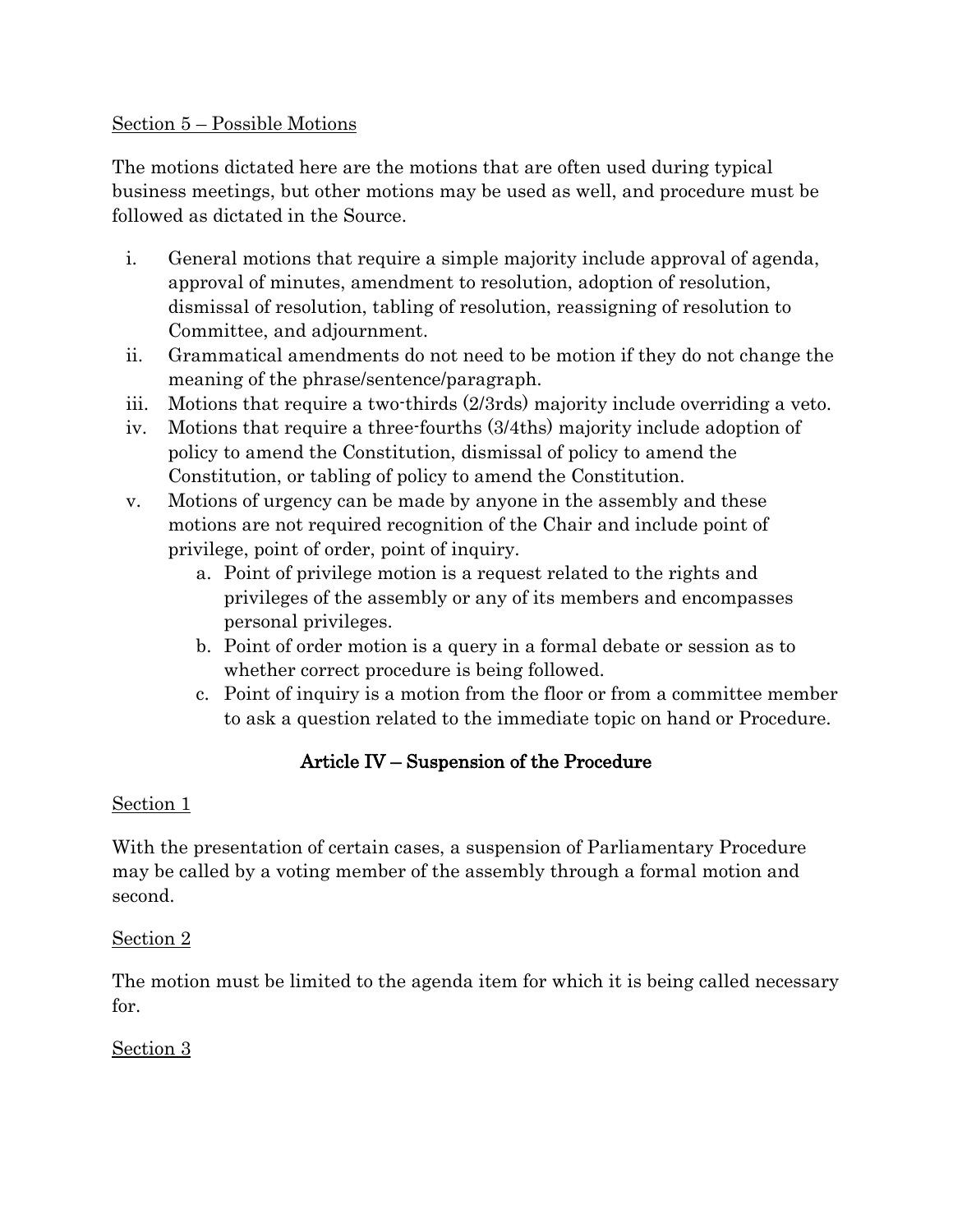#### Section 5 – Possible Motions

The motions dictated here are the motions that are often used during typical business meetings, but other motions may be used as well, and procedure must be followed as dictated in the Source.

- i. General motions that require a simple majority include approval of agenda, approval of minutes, amendment to resolution, adoption of resolution, dismissal of resolution, tabling of resolution, reassigning of resolution to Committee, and adjournment.
- ii. Grammatical amendments do not need to be motion if they do not change the meaning of the phrase/sentence/paragraph.
- iii. Motions that require a two-thirds (2/3rds) majority include overriding a veto.
- iv. Motions that require a three-fourths (3/4ths) majority include adoption of policy to amend the Constitution, dismissal of policy to amend the Constitution, or tabling of policy to amend the Constitution.
- v. Motions of urgency can be made by anyone in the assembly and these motions are not required recognition of the Chair and include point of privilege, point of order, point of inquiry.
	- a. Point of privilege motion is a request related to the rights and privileges of the assembly or any of its members and encompasses personal privileges.
	- b. Point of order motion is a query in a formal debate or session as to whether correct procedure is being followed.
	- c. Point of inquiry is a motion from the floor or from a committee member to ask a question related to the immediate topic on hand or Procedure.

# Article IV – Suspension of the Procedure

## Section 1

With the presentation of certain cases, a suspension of Parliamentary Procedure may be called by a voting member of the assembly through a formal motion and second.

## Section 2

The motion must be limited to the agenda item for which it is being called necessary for.

# Section 3